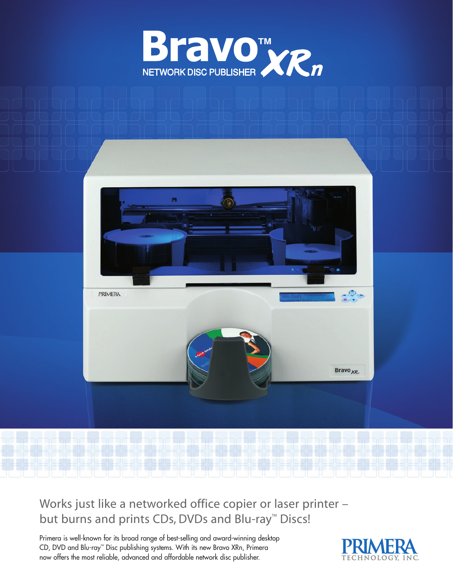



Works just like a networked office copier or laser printer – but burns and prints CDs, DVDs and Blu-ray™ Discs!

Primera is well-known for its broad range of best-selling and award-winning desktop CD, DVD and Blu-ray™ Disc publishing systems. With its new Bravo XRn, Primera now offers the most reliable, advanced and affordable network disc publisher.